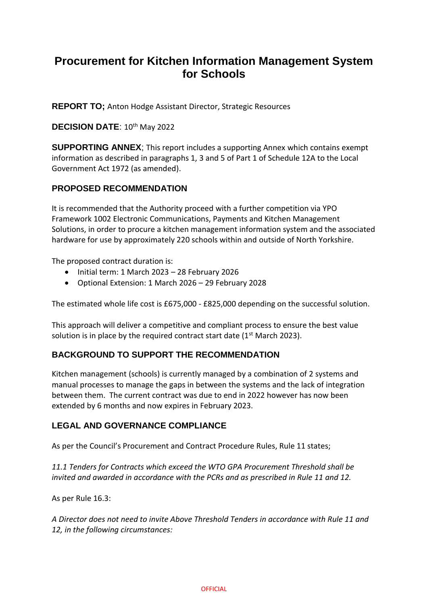# **Procurement for Kitchen Information Management System for Schools**

**REPORT TO;** Anton Hodge Assistant Director, Strategic Resources

#### **DECISION DATE: 10th May 2022**

**SUPPORTING ANNEX**; This report includes a supporting Annex which contains exempt information as described in paragraphs 1, 3 and 5 of Part 1 of Schedule 12A to the Local Government Act 1972 (as amended).

### **PROPOSED RECOMMENDATION**

It is recommended that the Authority proceed with a further competition via YPO Framework 1002 Electronic Communications, Payments and Kitchen Management Solutions, in order to procure a kitchen management information system and the associated hardware for use by approximately 220 schools within and outside of North Yorkshire.

The proposed contract duration is:

- Initial term: 1 March 2023 28 February 2026
- Optional Extension: 1 March 2026 29 February 2028

The estimated whole life cost is £675,000 - £825,000 depending on the successful solution.

This approach will deliver a competitive and compliant process to ensure the best value solution is in place by the required contract start date (1<sup>st</sup> March 2023).

### **BACKGROUND TO SUPPORT THE RECOMMENDATION**

Kitchen management (schools) is currently managed by a combination of 2 systems and manual processes to manage the gaps in between the systems and the lack of integration between them. The current contract was due to end in 2022 however has now been extended by 6 months and now expires in February 2023.

### **LEGAL AND GOVERNANCE COMPLIANCE**

As per the Council's Procurement and Contract Procedure Rules, Rule 11 states;

*11.1 Tenders for Contracts which exceed the WTO GPA Procurement Threshold shall be invited and awarded in accordance with the PCRs and as prescribed in Rule 11 and 12.*

As per Rule 16.3:

*A Director does not need to invite Above Threshold Tenders in accordance with Rule 11 and 12, in the following circumstances:*